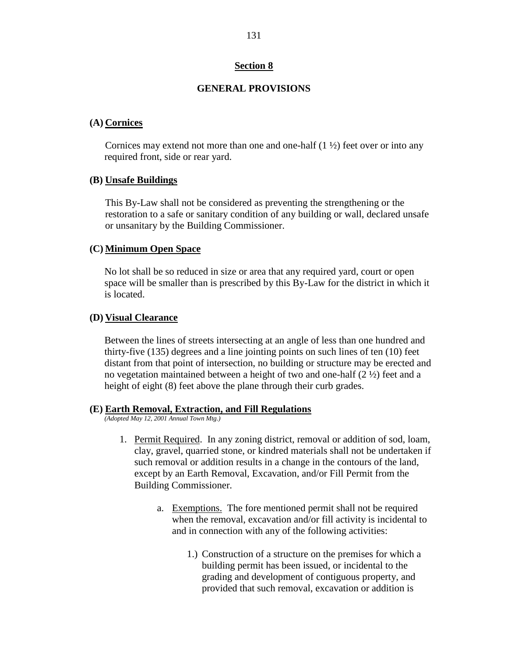## **Section 8**

## **GENERAL PROVISIONS**

#### **(A) Cornices**

Cornices may extend not more than one and one-half  $(1 \frac{1}{2})$  feet over or into any required front, side or rear yard.

#### **(B) Unsafe Buildings**

This By-Law shall not be considered as preventing the strengthening or the restoration to a safe or sanitary condition of any building or wall, declared unsafe or unsanitary by the Building Commissioner.

#### **(C) Minimum Open Space**

No lot shall be so reduced in size or area that any required yard, court or open space will be smaller than is prescribed by this By-Law for the district in which it is located.

#### **(D) Visual Clearance**

Between the lines of streets intersecting at an angle of less than one hundred and thirty-five (135) degrees and a line jointing points on such lines of ten (10) feet distant from that point of intersection, no building or structure may be erected and no vegetation maintained between a height of two and one-half  $(2 \frac{1}{2})$  feet and a height of eight (8) feet above the plane through their curb grades.

#### **(E) Earth Removal, Extraction, and Fill Regulations**

*(Adopted May 12, 2001 Annual Town Mtg.)*

- 1. Permit Required. In any zoning district, removal or addition of sod, loam, clay, gravel, quarried stone, or kindred materials shall not be undertaken if such removal or addition results in a change in the contours of the land, except by an Earth Removal, Excavation, and/or Fill Permit from the Building Commissioner.
	- a. Exemptions. The fore mentioned permit shall not be required when the removal, excavation and/or fill activity is incidental to and in connection with any of the following activities:
		- 1.) Construction of a structure on the premises for which a building permit has been issued, or incidental to the grading and development of contiguous property, and provided that such removal, excavation or addition is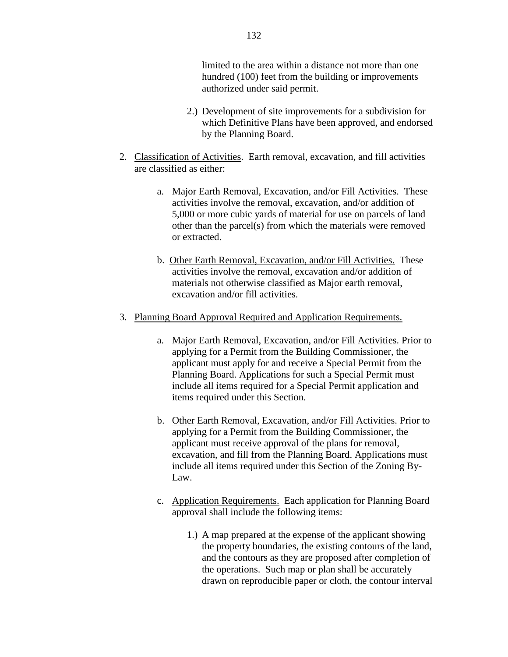limited to the area within a distance not more than one hundred (100) feet from the building or improvements authorized under said permit.

- 2.) Development of site improvements for a subdivision for which Definitive Plans have been approved, and endorsed by the Planning Board.
- 2. Classification of Activities. Earth removal, excavation, and fill activities are classified as either:
	- a. Major Earth Removal, Excavation, and/or Fill Activities. These activities involve the removal, excavation, and/or addition of 5,000 or more cubic yards of material for use on parcels of land other than the parcel(s) from which the materials were removed or extracted.
	- b. Other Earth Removal, Excavation, and/or Fill Activities. These activities involve the removal, excavation and/or addition of materials not otherwise classified as Major earth removal, excavation and/or fill activities.
- 3. Planning Board Approval Required and Application Requirements.
	- a. Major Earth Removal, Excavation, and/or Fill Activities. Prior to applying for a Permit from the Building Commissioner, the applicant must apply for and receive a Special Permit from the Planning Board. Applications for such a Special Permit must include all items required for a Special Permit application and items required under this Section.
	- b. Other Earth Removal, Excavation, and/or Fill Activities. Prior to applying for a Permit from the Building Commissioner, the applicant must receive approval of the plans for removal, excavation, and fill from the Planning Board. Applications must include all items required under this Section of the Zoning By-Law.
	- c. Application Requirements. Each application for Planning Board approval shall include the following items:
		- 1.) A map prepared at the expense of the applicant showing the property boundaries, the existing contours of the land, and the contours as they are proposed after completion of the operations. Such map or plan shall be accurately drawn on reproducible paper or cloth, the contour interval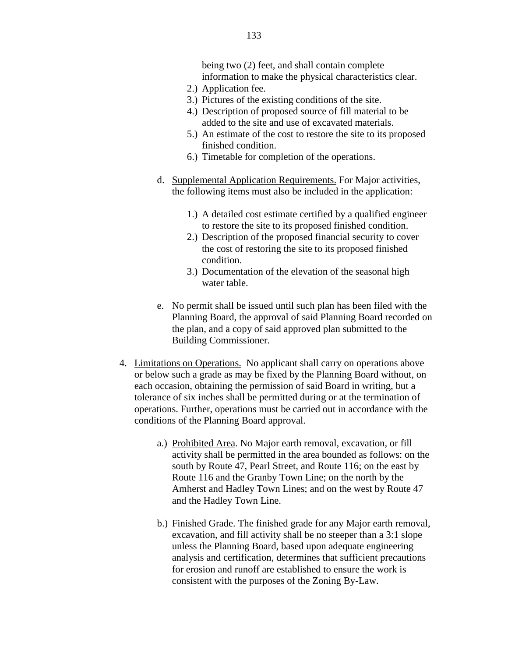being two (2) feet, and shall contain complete information to make the physical characteristics clear.

- 2.) Application fee.
- 3.) Pictures of the existing conditions of the site.
- 4.) Description of proposed source of fill material to be added to the site and use of excavated materials.
- 5.) An estimate of the cost to restore the site to its proposed finished condition.
- 6.) Timetable for completion of the operations.
- d. Supplemental Application Requirements. For Major activities, the following items must also be included in the application:
	- 1.) A detailed cost estimate certified by a qualified engineer to restore the site to its proposed finished condition.
	- 2.) Description of the proposed financial security to cover the cost of restoring the site to its proposed finished condition.
	- 3.) Documentation of the elevation of the seasonal high water table.
- e. No permit shall be issued until such plan has been filed with the Planning Board, the approval of said Planning Board recorded on the plan, and a copy of said approved plan submitted to the Building Commissioner.
- 4. Limitations on Operations. No applicant shall carry on operations above or below such a grade as may be fixed by the Planning Board without, on each occasion, obtaining the permission of said Board in writing, but a tolerance of six inches shall be permitted during or at the termination of operations. Further, operations must be carried out in accordance with the conditions of the Planning Board approval.
	- a.) Prohibited Area. No Major earth removal, excavation, or fill activity shall be permitted in the area bounded as follows: on the south by Route 47, Pearl Street, and Route 116; on the east by Route 116 and the Granby Town Line; on the north by the Amherst and Hadley Town Lines; and on the west by Route 47 and the Hadley Town Line.
	- b.) Finished Grade. The finished grade for any Major earth removal, excavation, and fill activity shall be no steeper than a 3:1 slope unless the Planning Board, based upon adequate engineering analysis and certification, determines that sufficient precautions for erosion and runoff are established to ensure the work is consistent with the purposes of the Zoning By-Law.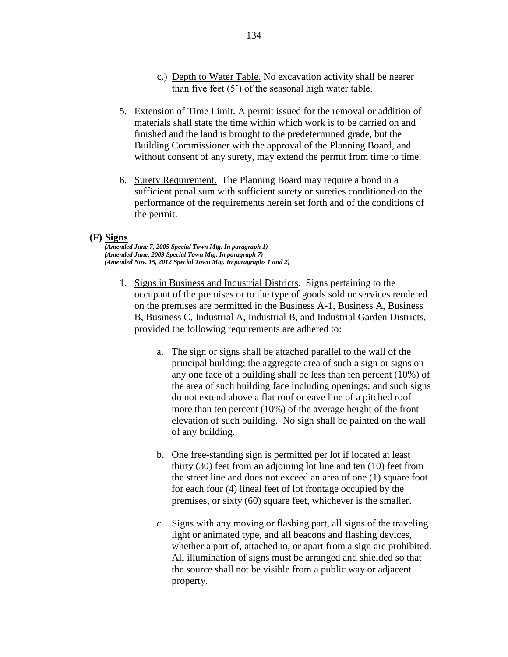- c.) Depth to Water Table. No excavation activity shall be nearer than five feet  $(5')$  of the seasonal high water table.
- 5. Extension of Time Limit. A permit issued for the removal or addition of materials shall state the time within which work is to be carried on and finished and the land is brought to the predetermined grade, but the Building Commissioner with the approval of the Planning Board, and without consent of any surety, may extend the permit from time to time.
- 6. Surety Requirement. The Planning Board may require a bond in a sufficient penal sum with sufficient surety or sureties conditioned on the performance of the requirements herein set forth and of the conditions of the permit.

#### **(F) Signs**

*(Amended June 7, 2005 Special Town Mtg. In paragraph 1) (Amended June, 2009 Special Town Mtg. In paragraph 7) (Amended Nov. 15, 2012 Special Town Mtg. In paragraphs 1 and 2)*

- 1. Signs in Business and Industrial Districts. Signs pertaining to the occupant of the premises or to the type of goods sold or services rendered on the premises are permitted in the Business A-1, Business A, Business B, Business C, Industrial A, Industrial B, and Industrial Garden Districts, provided the following requirements are adhered to:
	- a. The sign or signs shall be attached parallel to the wall of the principal building; the aggregate area of such a sign or signs on any one face of a building shall be less than ten percent (10%) of the area of such building face including openings; and such signs do not extend above a flat roof or eave line of a pitched roof more than ten percent (10%) of the average height of the front elevation of such building. No sign shall be painted on the wall of any building.
	- b. One free-standing sign is permitted per lot if located at least thirty (30) feet from an adjoining lot line and ten (10) feet from the street line and does not exceed an area of one (1) square foot for each four (4) lineal feet of lot frontage occupied by the premises, or sixty (60) square feet, whichever is the smaller.
	- c. Signs with any moving or flashing part, all signs of the traveling light or animated type, and all beacons and flashing devices, whether a part of, attached to, or apart from a sign are prohibited. All illumination of signs must be arranged and shielded so that the source shall not be visible from a public way or adjacent property.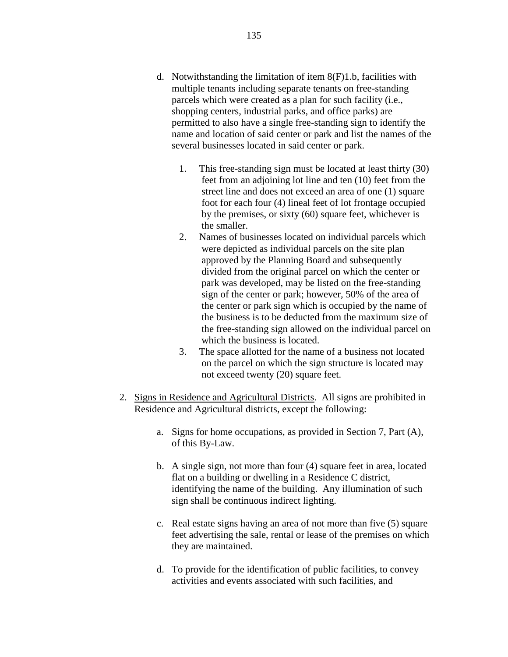- d. Notwithstanding the limitation of item 8(F)1.b, facilities with multiple tenants including separate tenants on free-standing parcels which were created as a plan for such facility (i.e., shopping centers, industrial parks, and office parks) are permitted to also have a single free-standing sign to identify the name and location of said center or park and list the names of the several businesses located in said center or park.
	- 1. This free-standing sign must be located at least thirty (30) feet from an adjoining lot line and ten (10) feet from the street line and does not exceed an area of one (1) square foot for each four (4) lineal feet of lot frontage occupied by the premises, or sixty (60) square feet, whichever is the smaller.
	- 2. Names of businesses located on individual parcels which were depicted as individual parcels on the site plan approved by the Planning Board and subsequently divided from the original parcel on which the center or park was developed, may be listed on the free-standing sign of the center or park; however, 50% of the area of the center or park sign which is occupied by the name of the business is to be deducted from the maximum size of the free-standing sign allowed on the individual parcel on which the business is located.
	- 3. The space allotted for the name of a business not located on the parcel on which the sign structure is located may not exceed twenty (20) square feet.
- 2. Signs in Residence and Agricultural Districts. All signs are prohibited in Residence and Agricultural districts, except the following:
	- a. Signs for home occupations, as provided in Section 7, Part (A), of this By-Law.
	- b. A single sign, not more than four (4) square feet in area, located flat on a building or dwelling in a Residence C district, identifying the name of the building. Any illumination of such sign shall be continuous indirect lighting.
	- c. Real estate signs having an area of not more than five (5) square feet advertising the sale, rental or lease of the premises on which they are maintained.
	- d. To provide for the identification of public facilities, to convey activities and events associated with such facilities, and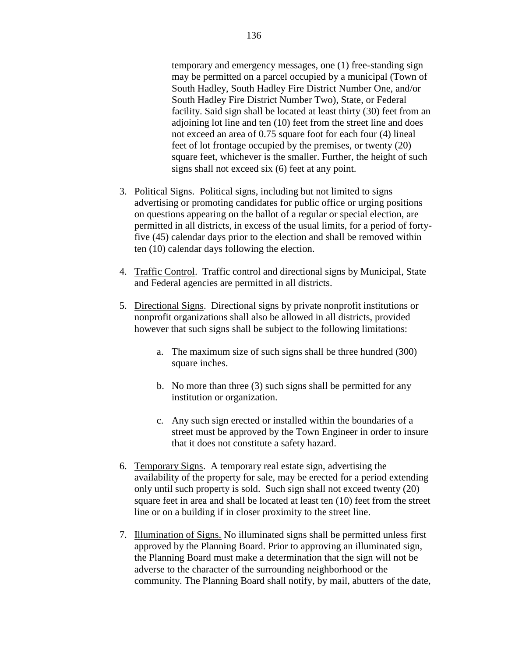temporary and emergency messages, one (1) free-standing sign may be permitted on a parcel occupied by a municipal (Town of South Hadley, South Hadley Fire District Number One, and/or South Hadley Fire District Number Two), State, or Federal facility. Said sign shall be located at least thirty (30) feet from an adjoining lot line and ten (10) feet from the street line and does not exceed an area of 0.75 square foot for each four (4) lineal feet of lot frontage occupied by the premises, or twenty (20) square feet, whichever is the smaller. Further, the height of such signs shall not exceed six (6) feet at any point.

- 3. Political Signs. Political signs, including but not limited to signs advertising or promoting candidates for public office or urging positions on questions appearing on the ballot of a regular or special election, are permitted in all districts, in excess of the usual limits, for a period of fortyfive (45) calendar days prior to the election and shall be removed within ten (10) calendar days following the election.
- 4. Traffic Control. Traffic control and directional signs by Municipal, State and Federal agencies are permitted in all districts.
- 5. Directional Signs. Directional signs by private nonprofit institutions or nonprofit organizations shall also be allowed in all districts, provided however that such signs shall be subject to the following limitations:
	- a. The maximum size of such signs shall be three hundred (300) square inches.
	- b. No more than three (3) such signs shall be permitted for any institution or organization.
	- c. Any such sign erected or installed within the boundaries of a street must be approved by the Town Engineer in order to insure that it does not constitute a safety hazard.
- 6. Temporary Signs. A temporary real estate sign, advertising the availability of the property for sale, may be erected for a period extending only until such property is sold. Such sign shall not exceed twenty (20) square feet in area and shall be located at least ten (10) feet from the street line or on a building if in closer proximity to the street line.
- 7. Illumination of Signs. No illuminated signs shall be permitted unless first approved by the Planning Board. Prior to approving an illuminated sign, the Planning Board must make a determination that the sign will not be adverse to the character of the surrounding neighborhood or the community. The Planning Board shall notify, by mail, abutters of the date,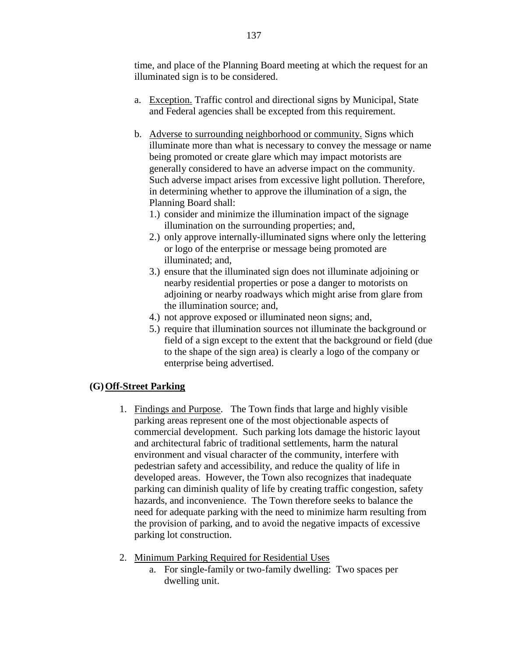time, and place of the Planning Board meeting at which the request for an illuminated sign is to be considered.

- a. Exception. Traffic control and directional signs by Municipal, State and Federal agencies shall be excepted from this requirement.
- b. Adverse to surrounding neighborhood or community. Signs which illuminate more than what is necessary to convey the message or name being promoted or create glare which may impact motorists are generally considered to have an adverse impact on the community. Such adverse impact arises from excessive light pollution. Therefore, in determining whether to approve the illumination of a sign, the Planning Board shall:
	- 1.) consider and minimize the illumination impact of the signage illumination on the surrounding properties; and,
	- 2.) only approve internally-illuminated signs where only the lettering or logo of the enterprise or message being promoted are illuminated; and,
	- 3.) ensure that the illuminated sign does not illuminate adjoining or nearby residential properties or pose a danger to motorists on adjoining or nearby roadways which might arise from glare from the illumination source; and,
	- 4.) not approve exposed or illuminated neon signs; and,
	- 5.) require that illumination sources not illuminate the background or field of a sign except to the extent that the background or field (due to the shape of the sign area) is clearly a logo of the company or enterprise being advertised.

# **(G)Off-Street Parking**

- 1. Findings and Purpose. The Town finds that large and highly visible parking areas represent one of the most objectionable aspects of commercial development. Such parking lots damage the historic layout and architectural fabric of traditional settlements, harm the natural environment and visual character of the community, interfere with pedestrian safety and accessibility, and reduce the quality of life in developed areas. However, the Town also recognizes that inadequate parking can diminish quality of life by creating traffic congestion, safety hazards, and inconvenience. The Town therefore seeks to balance the need for adequate parking with the need to minimize harm resulting from the provision of parking, and to avoid the negative impacts of excessive parking lot construction.
- 2. Minimum Parking Required for Residential Uses
	- a. For single-family or two-family dwelling: Two spaces per dwelling unit.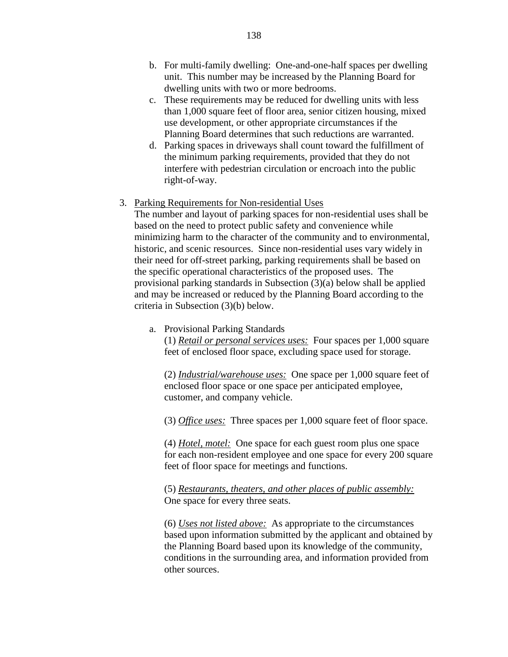- b. For multi-family dwelling: One-and-one-half spaces per dwelling unit. This number may be increased by the Planning Board for dwelling units with two or more bedrooms.
- c. These requirements may be reduced for dwelling units with less than 1,000 square feet of floor area, senior citizen housing, mixed use development, or other appropriate circumstances if the Planning Board determines that such reductions are warranted.
- d. Parking spaces in driveways shall count toward the fulfillment of the minimum parking requirements, provided that they do not interfere with pedestrian circulation or encroach into the public right-of-way.

## 3. Parking Requirements for Non-residential Uses

The number and layout of parking spaces for non-residential uses shall be based on the need to protect public safety and convenience while minimizing harm to the character of the community and to environmental, historic, and scenic resources. Since non-residential uses vary widely in their need for off-street parking, parking requirements shall be based on the specific operational characteristics of the proposed uses. The provisional parking standards in Subsection (3)(a) below shall be applied and may be increased or reduced by the Planning Board according to the criteria in Subsection (3)(b) below.

a. Provisional Parking Standards

(1) *Retail or personal services uses:* Four spaces per 1,000 square feet of enclosed floor space, excluding space used for storage.

(2) *Industrial/warehouse uses:* One space per 1,000 square feet of enclosed floor space or one space per anticipated employee, customer, and company vehicle.

(3) *Office uses:* Three spaces per 1,000 square feet of floor space.

(4) *Hotel, motel:* One space for each guest room plus one space for each non-resident employee and one space for every 200 square feet of floor space for meetings and functions.

(5) *Restaurants, theaters, and other places of public assembly:* One space for every three seats.

(6) *Uses not listed above:* As appropriate to the circumstances based upon information submitted by the applicant and obtained by the Planning Board based upon its knowledge of the community, conditions in the surrounding area, and information provided from other sources.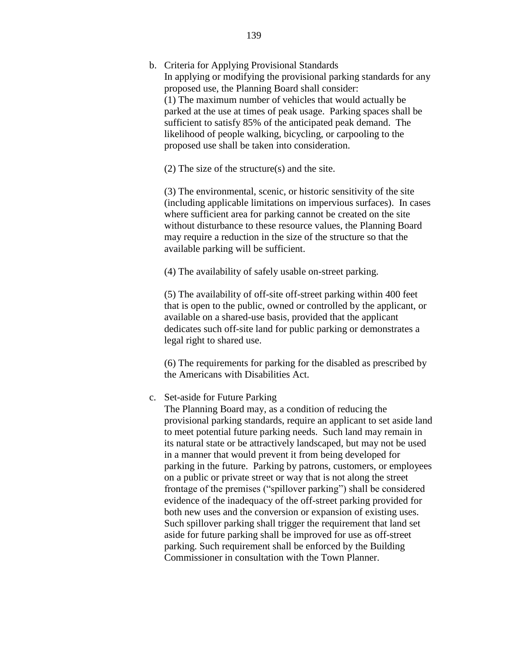b. Criteria for Applying Provisional Standards In applying or modifying the provisional parking standards for any proposed use, the Planning Board shall consider: (1) The maximum number of vehicles that would actually be parked at the use at times of peak usage. Parking spaces shall be sufficient to satisfy 85% of the anticipated peak demand. The likelihood of people walking, bicycling, or carpooling to the proposed use shall be taken into consideration.

(2) The size of the structure(s) and the site.

(3) The environmental, scenic, or historic sensitivity of the site (including applicable limitations on impervious surfaces). In cases where sufficient area for parking cannot be created on the site without disturbance to these resource values, the Planning Board may require a reduction in the size of the structure so that the available parking will be sufficient.

(4) The availability of safely usable on-street parking.

(5) The availability of off-site off-street parking within 400 feet that is open to the public, owned or controlled by the applicant, or available on a shared-use basis, provided that the applicant dedicates such off-site land for public parking or demonstrates a legal right to shared use.

(6) The requirements for parking for the disabled as prescribed by the Americans with Disabilities Act.

### c. Set-aside for Future Parking

The Planning Board may, as a condition of reducing the provisional parking standards, require an applicant to set aside land to meet potential future parking needs. Such land may remain in its natural state or be attractively landscaped, but may not be used in a manner that would prevent it from being developed for parking in the future. Parking by patrons, customers, or employees on a public or private street or way that is not along the street frontage of the premises ("spillover parking") shall be considered evidence of the inadequacy of the off-street parking provided for both new uses and the conversion or expansion of existing uses. Such spillover parking shall trigger the requirement that land set aside for future parking shall be improved for use as off-street parking. Such requirement shall be enforced by the Building Commissioner in consultation with the Town Planner.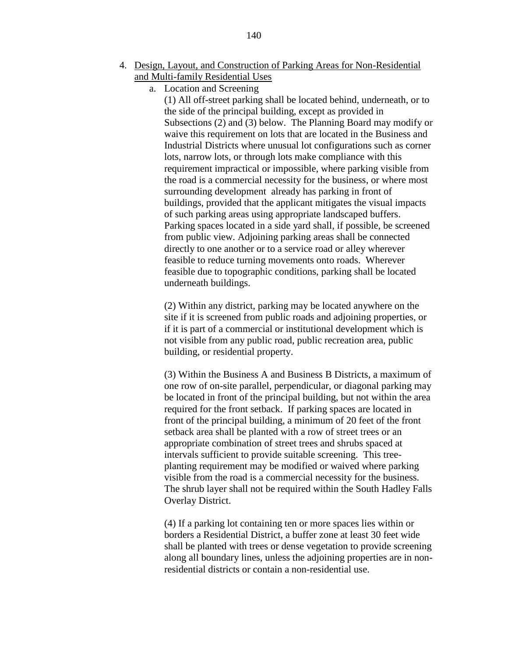- 4. Design, Layout, and Construction of Parking Areas for Non-Residential and Multi-family Residential Uses
	- a. Location and Screening

(1) All off-street parking shall be located behind, underneath, or to the side of the principal building, except as provided in Subsections (2) and (3) below. The Planning Board may modify or waive this requirement on lots that are located in the Business and Industrial Districts where unusual lot configurations such as corner lots, narrow lots, or through lots make compliance with this requirement impractical or impossible, where parking visible from the road is a commercial necessity for the business, or where most surrounding development already has parking in front of buildings, provided that the applicant mitigates the visual impacts of such parking areas using appropriate landscaped buffers. Parking spaces located in a side yard shall, if possible, be screened from public view. Adjoining parking areas shall be connected directly to one another or to a service road or alley wherever feasible to reduce turning movements onto roads. Wherever feasible due to topographic conditions, parking shall be located underneath buildings.

(2) Within any district, parking may be located anywhere on the site if it is screened from public roads and adjoining properties, or if it is part of a commercial or institutional development which is not visible from any public road, public recreation area, public building, or residential property.

(3) Within the Business A and Business B Districts, a maximum of one row of on-site parallel, perpendicular, or diagonal parking may be located in front of the principal building, but not within the area required for the front setback. If parking spaces are located in front of the principal building, a minimum of 20 feet of the front setback area shall be planted with a row of street trees or an appropriate combination of street trees and shrubs spaced at intervals sufficient to provide suitable screening. This treeplanting requirement may be modified or waived where parking visible from the road is a commercial necessity for the business. The shrub layer shall not be required within the South Hadley Falls Overlay District.

(4) If a parking lot containing ten or more spaces lies within or borders a Residential District, a buffer zone at least 30 feet wide shall be planted with trees or dense vegetation to provide screening along all boundary lines, unless the adjoining properties are in nonresidential districts or contain a non-residential use.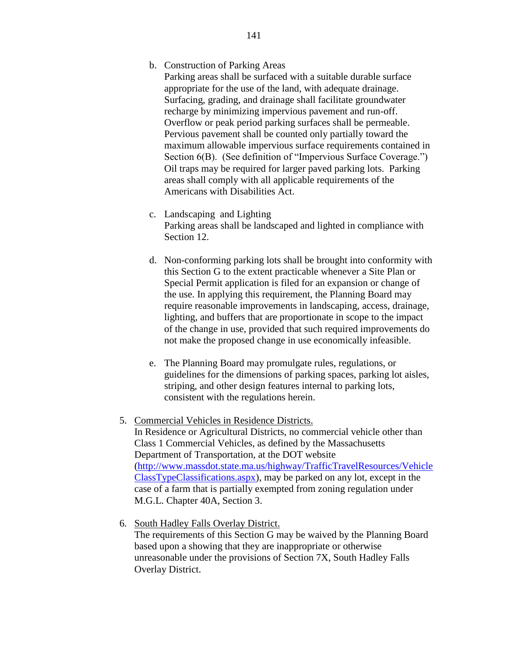b. Construction of Parking Areas

Parking areas shall be surfaced with a suitable durable surface appropriate for the use of the land, with adequate drainage. Surfacing, grading, and drainage shall facilitate groundwater recharge by minimizing impervious pavement and run-off. Overflow or peak period parking surfaces shall be permeable. Pervious pavement shall be counted only partially toward the maximum allowable impervious surface requirements contained in Section 6(B). (See definition of "Impervious Surface Coverage.") Oil traps may be required for larger paved parking lots. Parking areas shall comply with all applicable requirements of the Americans with Disabilities Act.

- c. Landscaping and Lighting Parking areas shall be landscaped and lighted in compliance with Section 12.
- d. Non-conforming parking lots shall be brought into conformity with this Section G to the extent practicable whenever a Site Plan or Special Permit application is filed for an expansion or change of the use. In applying this requirement, the Planning Board may require reasonable improvements in landscaping, access, drainage, lighting, and buffers that are proportionate in scope to the impact of the change in use, provided that such required improvements do not make the proposed change in use economically infeasible.
- e. The Planning Board may promulgate rules, regulations, or guidelines for the dimensions of parking spaces, parking lot aisles, striping, and other design features internal to parking lots, consistent with the regulations herein.
- 5. Commercial Vehicles in Residence Districts.

In Residence or Agricultural Districts, no commercial vehicle other than Class 1 Commercial Vehicles, as defined by the Massachusetts Department of Transportation, at the DOT website [\(http://www.massdot.state.ma.us/highway/TrafficTravelResources/Vehicle](http://www.massdot.state.ma.us/highway/TrafficTravelResources/VehicleClassTypeClassifications.aspx) [ClassTypeClassifications.aspx\)](http://www.massdot.state.ma.us/highway/TrafficTravelResources/VehicleClassTypeClassifications.aspx), may be parked on any lot, except in the case of a farm that is partially exempted from zoning regulation under M.G.L. Chapter 40A, Section 3.

6. South Hadley Falls Overlay District.

The requirements of this Section G may be waived by the Planning Board based upon a showing that they are inappropriate or otherwise unreasonable under the provisions of Section 7X, South Hadley Falls Overlay District.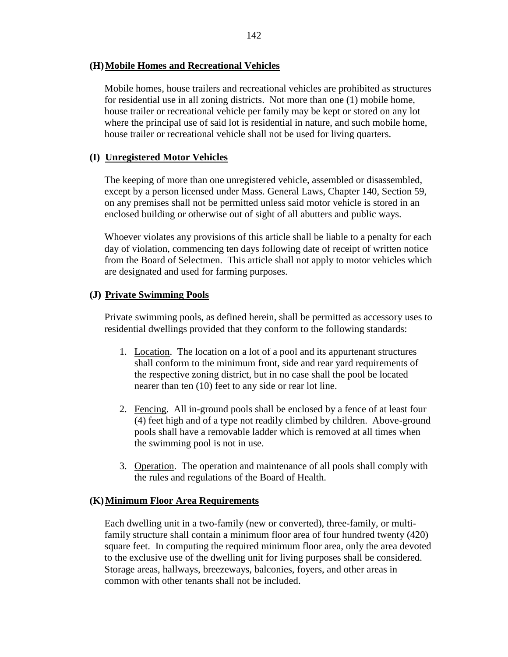## **(H)Mobile Homes and Recreational Vehicles**

Mobile homes, house trailers and recreational vehicles are prohibited as structures for residential use in all zoning districts. Not more than one (1) mobile home, house trailer or recreational vehicle per family may be kept or stored on any lot where the principal use of said lot is residential in nature, and such mobile home, house trailer or recreational vehicle shall not be used for living quarters.

# **(I) Unregistered Motor Vehicles**

The keeping of more than one unregistered vehicle, assembled or disassembled, except by a person licensed under Mass. General Laws, Chapter 140, Section 59, on any premises shall not be permitted unless said motor vehicle is stored in an enclosed building or otherwise out of sight of all abutters and public ways.

Whoever violates any provisions of this article shall be liable to a penalty for each day of violation, commencing ten days following date of receipt of written notice from the Board of Selectmen. This article shall not apply to motor vehicles which are designated and used for farming purposes.

## **(J) Private Swimming Pools**

Private swimming pools, as defined herein, shall be permitted as accessory uses to residential dwellings provided that they conform to the following standards:

- 1. Location. The location on a lot of a pool and its appurtenant structures shall conform to the minimum front, side and rear yard requirements of the respective zoning district, but in no case shall the pool be located nearer than ten (10) feet to any side or rear lot line.
- 2. Fencing. All in-ground pools shall be enclosed by a fence of at least four (4) feet high and of a type not readily climbed by children. Above-ground pools shall have a removable ladder which is removed at all times when the swimming pool is not in use.
- 3. Operation. The operation and maintenance of all pools shall comply with the rules and regulations of the Board of Health.

## **(K)Minimum Floor Area Requirements**

Each dwelling unit in a two-family (new or converted), three-family, or multifamily structure shall contain a minimum floor area of four hundred twenty (420) square feet. In computing the required minimum floor area, only the area devoted to the exclusive use of the dwelling unit for living purposes shall be considered. Storage areas, hallways, breezeways, balconies, foyers, and other areas in common with other tenants shall not be included.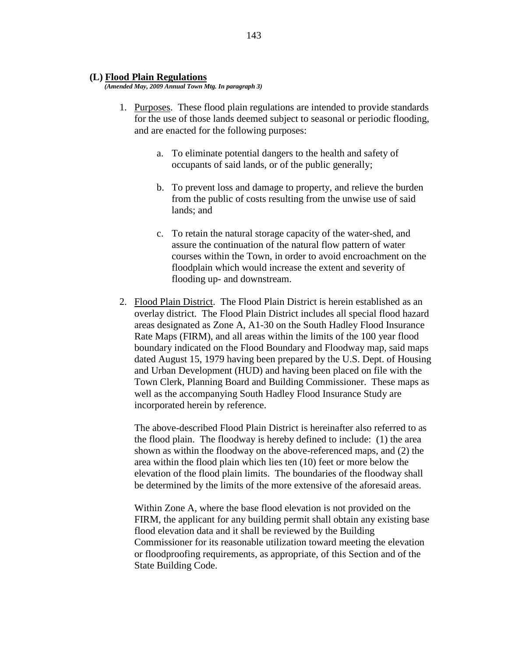#### **(L) Flood Plain Regulations**

*(Amended May, 2009 Annual Town Mtg. In paragraph 3)*

- 1. Purposes. These flood plain regulations are intended to provide standards for the use of those lands deemed subject to seasonal or periodic flooding, and are enacted for the following purposes:
	- a. To eliminate potential dangers to the health and safety of occupants of said lands, or of the public generally;
	- b. To prevent loss and damage to property, and relieve the burden from the public of costs resulting from the unwise use of said lands; and
	- c. To retain the natural storage capacity of the water-shed, and assure the continuation of the natural flow pattern of water courses within the Town, in order to avoid encroachment on the floodplain which would increase the extent and severity of flooding up- and downstream.
- 2. Flood Plain District. The Flood Plain District is herein established as an overlay district. The Flood Plain District includes all special flood hazard areas designated as Zone A, A1-30 on the South Hadley Flood Insurance Rate Maps (FIRM), and all areas within the limits of the 100 year flood boundary indicated on the Flood Boundary and Floodway map, said maps dated August 15, 1979 having been prepared by the U.S. Dept. of Housing and Urban Development (HUD) and having been placed on file with the Town Clerk, Planning Board and Building Commissioner. These maps as well as the accompanying South Hadley Flood Insurance Study are incorporated herein by reference.

The above-described Flood Plain District is hereinafter also referred to as the flood plain. The floodway is hereby defined to include: (1) the area shown as within the floodway on the above-referenced maps, and (2) the area within the flood plain which lies ten (10) feet or more below the elevation of the flood plain limits. The boundaries of the floodway shall be determined by the limits of the more extensive of the aforesaid areas.

Within Zone A, where the base flood elevation is not provided on the FIRM, the applicant for any building permit shall obtain any existing base flood elevation data and it shall be reviewed by the Building Commissioner for its reasonable utilization toward meeting the elevation or floodproofing requirements, as appropriate, of this Section and of the State Building Code.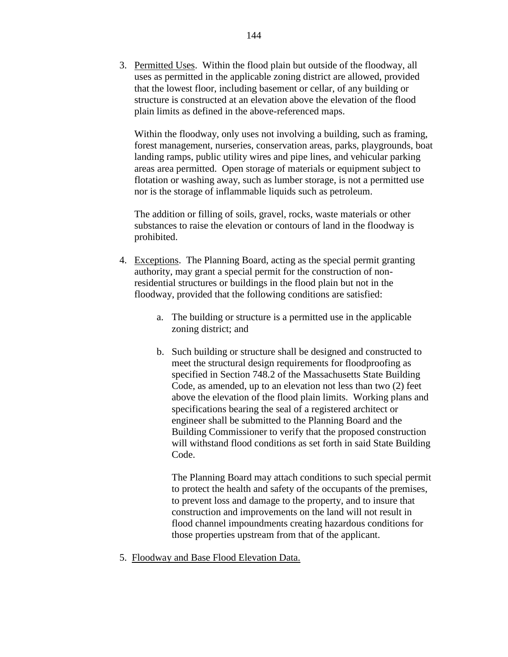3. Permitted Uses. Within the flood plain but outside of the floodway, all uses as permitted in the applicable zoning district are allowed, provided that the lowest floor, including basement or cellar, of any building or structure is constructed at an elevation above the elevation of the flood plain limits as defined in the above-referenced maps.

Within the floodway, only uses not involving a building, such as framing, forest management, nurseries, conservation areas, parks, playgrounds, boat landing ramps, public utility wires and pipe lines, and vehicular parking areas area permitted. Open storage of materials or equipment subject to flotation or washing away, such as lumber storage, is not a permitted use nor is the storage of inflammable liquids such as petroleum.

The addition or filling of soils, gravel, rocks, waste materials or other substances to raise the elevation or contours of land in the floodway is prohibited.

- 4. Exceptions. The Planning Board, acting as the special permit granting authority, may grant a special permit for the construction of nonresidential structures or buildings in the flood plain but not in the floodway, provided that the following conditions are satisfied:
	- a. The building or structure is a permitted use in the applicable zoning district; and
	- b. Such building or structure shall be designed and constructed to meet the structural design requirements for floodproofing as specified in Section 748.2 of the Massachusetts State Building Code, as amended, up to an elevation not less than two (2) feet above the elevation of the flood plain limits. Working plans and specifications bearing the seal of a registered architect or engineer shall be submitted to the Planning Board and the Building Commissioner to verify that the proposed construction will withstand flood conditions as set forth in said State Building Code.

The Planning Board may attach conditions to such special permit to protect the health and safety of the occupants of the premises, to prevent loss and damage to the property, and to insure that construction and improvements on the land will not result in flood channel impoundments creating hazardous conditions for those properties upstream from that of the applicant.

5. Floodway and Base Flood Elevation Data.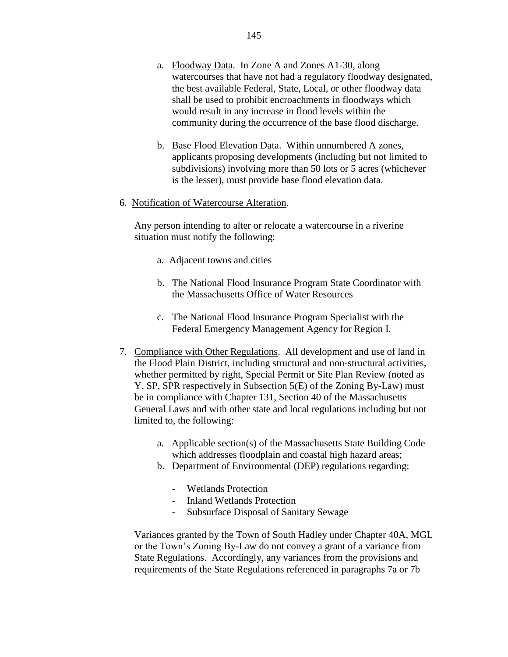- a. Floodway Data. In Zone A and Zones A1-30, along watercourses that have not had a regulatory floodway designated, the best available Federal, State, Local, or other floodway data shall be used to prohibit encroachments in floodways which would result in any increase in flood levels within the community during the occurrence of the base flood discharge.
- b. Base Flood Elevation Data. Within unnumbered A zones, applicants proposing developments (including but not limited to subdivisions) involving more than 50 lots or 5 acres (whichever is the lesser), must provide base flood elevation data.
- 6. Notification of Watercourse Alteration.

Any person intending to alter or relocate a watercourse in a riverine situation must notify the following:

- a. Adjacent towns and cities
- b. The National Flood Insurance Program State Coordinator with the Massachusetts Office of Water Resources
- c. The National Flood Insurance Program Specialist with the Federal Emergency Management Agency for Region I.
- 7. Compliance with Other Regulations. All development and use of land in the Flood Plain District, including structural and non-structural activities, whether permitted by right, Special Permit or Site Plan Review (noted as Y, SP, SPR respectively in Subsection 5(E) of the Zoning By-Law) must be in compliance with Chapter 131, Section 40 of the Massachusetts General Laws and with other state and local regulations including but not limited to, the following:
	- a. Applicable section(s) of the Massachusetts State Building Code which addresses floodplain and coastal high hazard areas;
	- b. Department of Environmental (DEP) regulations regarding:
		- Wetlands Protection
		- Inland Wetlands Protection
		- Subsurface Disposal of Sanitary Sewage

Variances granted by the Town of South Hadley under Chapter 40A, MGL or the Town's Zoning By-Law do not convey a grant of a variance from State Regulations. Accordingly, any variances from the provisions and requirements of the State Regulations referenced in paragraphs 7a or 7b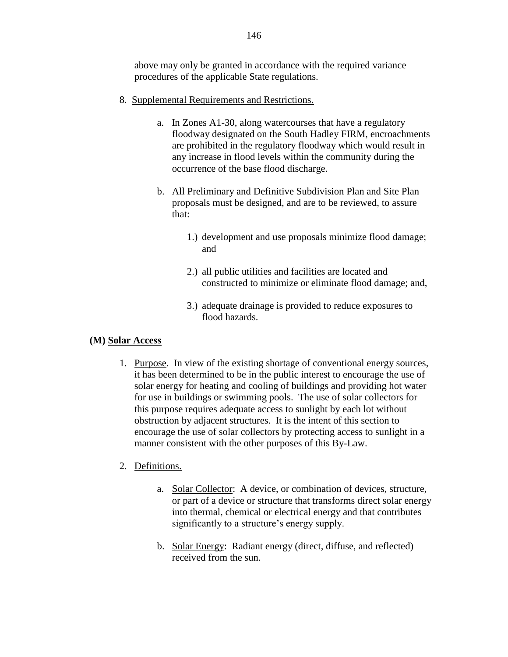above may only be granted in accordance with the required variance procedures of the applicable State regulations.

- 8. Supplemental Requirements and Restrictions.
	- a. In Zones A1-30, along watercourses that have a regulatory floodway designated on the South Hadley FIRM, encroachments are prohibited in the regulatory floodway which would result in any increase in flood levels within the community during the occurrence of the base flood discharge.
	- b. All Preliminary and Definitive Subdivision Plan and Site Plan proposals must be designed, and are to be reviewed, to assure that:
		- 1.) development and use proposals minimize flood damage; and
		- 2.) all public utilities and facilities are located and constructed to minimize or eliminate flood damage; and,
		- 3.) adequate drainage is provided to reduce exposures to flood hazards.

## **(M) Solar Access**

1. Purpose. In view of the existing shortage of conventional energy sources, it has been determined to be in the public interest to encourage the use of solar energy for heating and cooling of buildings and providing hot water for use in buildings or swimming pools. The use of solar collectors for this purpose requires adequate access to sunlight by each lot without obstruction by adjacent structures. It is the intent of this section to encourage the use of solar collectors by protecting access to sunlight in a manner consistent with the other purposes of this By-Law.

# 2. Definitions.

- a. Solar Collector: A device, or combination of devices, structure, or part of a device or structure that transforms direct solar energy into thermal, chemical or electrical energy and that contributes significantly to a structure's energy supply.
- b. Solar Energy: Radiant energy (direct, diffuse, and reflected) received from the sun.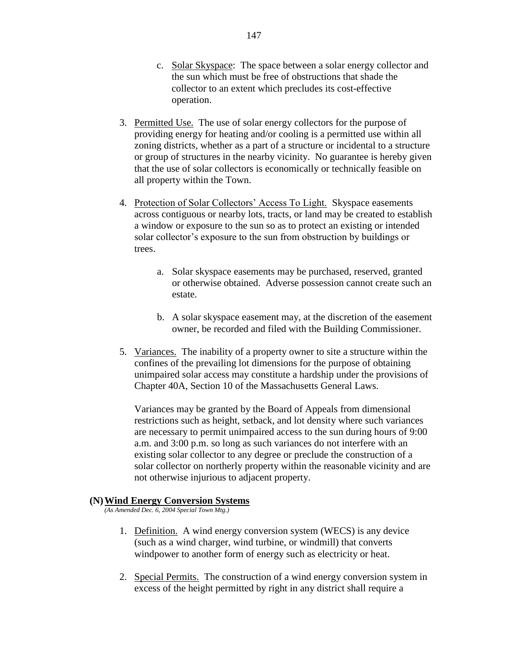- c. Solar Skyspace: The space between a solar energy collector and the sun which must be free of obstructions that shade the collector to an extent which precludes its cost-effective operation.
- 3. Permitted Use. The use of solar energy collectors for the purpose of providing energy for heating and/or cooling is a permitted use within all zoning districts, whether as a part of a structure or incidental to a structure or group of structures in the nearby vicinity. No guarantee is hereby given that the use of solar collectors is economically or technically feasible on all property within the Town.
- 4. Protection of Solar Collectors' Access To Light. Skyspace easements across contiguous or nearby lots, tracts, or land may be created to establish a window or exposure to the sun so as to protect an existing or intended solar collector's exposure to the sun from obstruction by buildings or trees.
	- a. Solar skyspace easements may be purchased, reserved, granted or otherwise obtained. Adverse possession cannot create such an estate.
	- b. A solar skyspace easement may, at the discretion of the easement owner, be recorded and filed with the Building Commissioner.
- 5. Variances. The inability of a property owner to site a structure within the confines of the prevailing lot dimensions for the purpose of obtaining unimpaired solar access may constitute a hardship under the provisions of Chapter 40A, Section 10 of the Massachusetts General Laws.

Variances may be granted by the Board of Appeals from dimensional restrictions such as height, setback, and lot density where such variances are necessary to permit unimpaired access to the sun during hours of 9:00 a.m. and 3:00 p.m. so long as such variances do not interfere with an existing solar collector to any degree or preclude the construction of a solar collector on northerly property within the reasonable vicinity and are not otherwise injurious to adjacent property.

#### **(N)Wind Energy Conversion Systems**

*(As Amended Dec. 6, 2004 Special Town Mtg.)*

- 1. Definition. A wind energy conversion system (WECS) is any device (such as a wind charger, wind turbine, or windmill) that converts windpower to another form of energy such as electricity or heat.
- 2. Special Permits. The construction of a wind energy conversion system in excess of the height permitted by right in any district shall require a